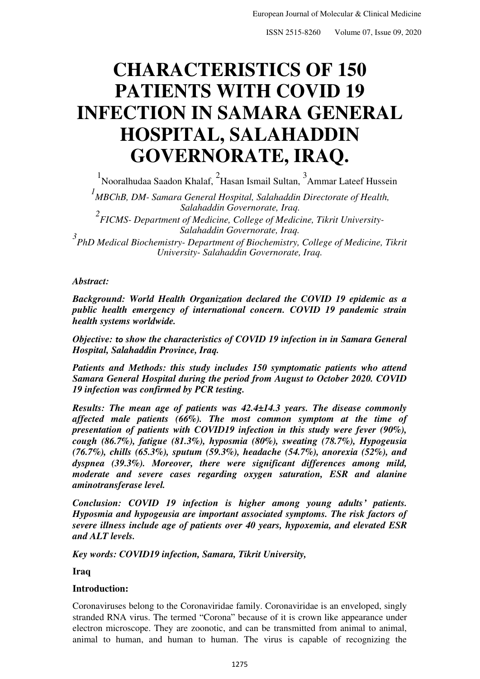# **CHARACTERISTICS OF 150 PATIENTS WITH COVID 19 INFECTION IN SAMARA GENERAL HOSPITAL, SALAHADDIN GOVERNORATE, IRAQ.**

<sup>1</sup> Nooralhudaa Saadon Khalaf, <sup>2</sup> Hasan Ismail Sultan, <sup>3</sup> Ammar Lateef Hussein

*1 MBChB, DM- Samara General Hospital, Salahaddin Directorate of Health, Salahaddin Governorate, Iraq.* 

*2 FICMS- Department of Medicine, College of Medicine, Tikrit University-Salahaddin Governorate, Iraq.* 

*3 PhD Medical Biochemistry- Department of Biochemistry, College of Medicine, Tikrit University- Salahaddin Governorate, Iraq.* 

#### *Abstract:*

*Background: World Health Organization declared the COVID 19 epidemic as a public health emergency of international concern. COVID 19 pandemic strain health systems worldwide.* 

*Objective: to show the characteristics of COVID 19 infection in in Samara General Hospital, Salahaddin Province, Iraq.* 

*Patients and Methods: this study includes 150 symptomatic patients who attend Samara General Hospital during the period from August to October 2020. COVID 19 infection was confirmed by PCR testing.* 

*Results: The mean age of patients was 42.4±14.3 years. The disease commonly affected male patients (66%). The most common symptom at the time of presentation of patients with COVID19 infection in this study were fever (90%), cough (86.7%), fatigue (81.3%), hyposmia (80%), sweating (78.7%), Hypogeusia (76.7%), chills (65.3%), sputum (59.3%), headache (54.7%), anorexia (52%), and dyspnea (39.3%). Moreover, there were significant differences among mild, moderate and severe cases regarding oxygen saturation, ESR and alanine aminotransferase level.* 

*Conclusion: COVID 19 infection is higher among young adults' patients. Hyposmia and hypogeusia are important associated symptoms. The risk factors of severe illness include age of patients over 40 years, hypoxemia, and elevated ESR and ALT levels.* 

*Key words: COVID19 infection, Samara, Tikrit University,*

**Iraq** 

### **Introduction:**

Coronaviruses belong to the Coronaviridae family. Coronaviridae is an enveloped, singly stranded RNA virus. The termed "Corona" because of it is crown like appearance under electron microscope. They are zoonotic, and can be transmitted from animal to animal, animal to human, and human to human. The virus is capable of recognizing the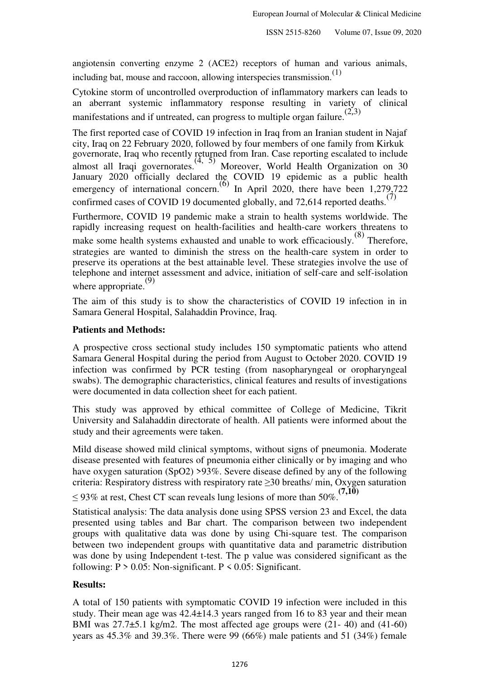angiotensin converting enzyme 2 (ACE2) receptors of human and various animals, including bat, mouse and raccoon, allowing interspecies transmission. $(1)$ 

Cytokine storm of uncontrolled overproduction of inflammatory markers can leads to an aberrant systemic inflammatory response resulting in variety of clinical manifestations and if untreated, can progress to multiple organ failure.<sup> $(2,3)$ </sup>

The first reported case of COVID 19 infection in Iraq from an Iranian student in Najaf city, Iraq on 22 February 2020, followed by four members of one family from Kirkuk governorate, Iraq who recently returned from Iran. Case reporting escalated to include almost all Iraqi governorates.<sup> $(4, 5)$ </sup> Moreover, World Health Organization on 30 January 2020 officially declared the COVID 19 epidemic as a public health emergency of international concern.<sup>(6)</sup> In April 2020, there have been  $1,279,722$ confirmed cases of COVID 19 documented globally, and 72,614 reported deaths.<sup>(7)</sup>

Furthermore, COVID 19 pandemic make a strain to health systems worldwide. The rapidly increasing request on health-facilities and health-care workers threatens to make some health systems exhausted and unable to work efficaciously.<sup>(8)</sup> Therefore, strategies are wanted to diminish the stress on the health-care system in order to preserve its operations at the best attainable level. These strategies involve the use of telephone and internet assessment and advice, initiation of self-care and self-isolation where appropriate.<sup>(9)</sup>

The aim of this study is to show the characteristics of COVID 19 infection in in Samara General Hospital, Salahaddin Province, Iraq.

### **Patients and Methods:**

A prospective cross sectional study includes 150 symptomatic patients who attend Samara General Hospital during the period from August to October 2020. COVID 19 infection was confirmed by PCR testing (from nasopharyngeal or oropharyngeal swabs). The demographic characteristics, clinical features and results of investigations were documented in data collection sheet for each patient.

This study was approved by ethical committee of College of Medicine, Tikrit University and Salahaddin directorate of health. All patients were informed about the study and their agreements were taken.

Mild disease showed mild clinical symptoms, without signs of pneumonia. Moderate disease presented with features of pneumonia either clinically or by imaging and who have oxygen saturation (SpO2) >93%. Severe disease defined by any of the following criteria: Respiratory distress with respiratory rate ≥30 breaths/ min, Oxygen saturation

≤ 93% at rest, Chest CT scan reveals lung lesions of more than 50%.<sup>(7,10)</sup>

Statistical analysis: The data analysis done using SPSS version 23 and Excel, the data presented using tables and Bar chart. The comparison between two independent groups with qualitative data was done by using Chi-square test. The comparison between two independent groups with quantitative data and parametric distribution was done by using Independent t-test. The p value was considered significant as the following:  $P > 0.05$ : Non-significant.  $P < 0.05$ : Significant.

### **Results:**

A total of 150 patients with symptomatic COVID 19 infection were included in this study. Their mean age was 42.4±14.3 years ranged from 16 to 83 year and their mean BMI was 27.7±5.1 kg/m2. The most affected age groups were (21- 40) and (41-60) years as  $45.3\%$  and  $39.3\%$ . There were 99 (66%) male patients and 51 (34%) female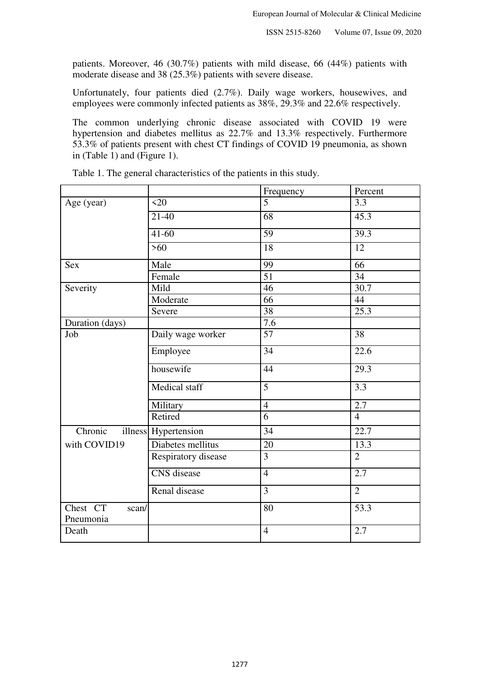patients. Moreover, 46 (30.7%) patients with mild disease, 66 (44%) patients with moderate disease and 38 (25.3%) patients with severe disease.

Unfortunately, four patients died (2.7%). Daily wage workers, housewives, and employees were commonly infected patients as 38%, 29.3% and 22.6% respectively.

The common underlying chronic disease associated with COVID 19 were hypertension and diabetes mellitus as 22.7% and 13.3% respectively. Furthermore 53.3% of patients present with chest CT findings of COVID 19 pneumonia, as shown in (Table 1) and (Figure 1).

| 5<br>$\langle 20$<br>3.3<br>Age (year)<br>$\overline{68}$<br>$21 - 40$<br>45.3<br>$\overline{59}$<br>$41 - 60$<br>39.3<br>$\overline{18}$<br>$\overline{12}$<br>$>60$<br>99<br>66<br><b>Sex</b><br>Male<br>$\overline{51}$<br>34<br>Female<br>46<br>30.7<br>Severity<br>Mild<br>Moderate<br>66<br>44<br>$\overline{38}$<br>25.3<br>Severe<br>Duration (days)<br>7.6<br>Daily wage worker<br>57<br>38<br>Job<br>34<br>Employee<br>22.6<br>housewife<br>44<br>29.3<br>$\overline{5}$<br>Medical staff<br>3.3<br>2.7<br>$\overline{4}$<br>Military<br>Retired<br>6<br>$\overline{4}$<br>illness Hypertension<br>Chronic<br>22.7<br>$\overline{34}$<br>with COVID19<br>Diabetes mellitus<br>20<br>13.3<br>$\overline{3}$<br>Respiratory disease<br>$\overline{2}$<br><b>CNS</b> disease<br>$\overline{4}$<br>2.7<br>Renal disease<br>3<br>$\overline{2}$<br>Chest CT<br>53.3<br>80<br>scan/<br>Pneumonia<br>$\overline{4}$<br>2.7<br>Death |  | Frequency | Percent |
|----------------------------------------------------------------------------------------------------------------------------------------------------------------------------------------------------------------------------------------------------------------------------------------------------------------------------------------------------------------------------------------------------------------------------------------------------------------------------------------------------------------------------------------------------------------------------------------------------------------------------------------------------------------------------------------------------------------------------------------------------------------------------------------------------------------------------------------------------------------------------------------------------------------------------------------|--|-----------|---------|
|                                                                                                                                                                                                                                                                                                                                                                                                                                                                                                                                                                                                                                                                                                                                                                                                                                                                                                                                        |  |           |         |
|                                                                                                                                                                                                                                                                                                                                                                                                                                                                                                                                                                                                                                                                                                                                                                                                                                                                                                                                        |  |           |         |
|                                                                                                                                                                                                                                                                                                                                                                                                                                                                                                                                                                                                                                                                                                                                                                                                                                                                                                                                        |  |           |         |
|                                                                                                                                                                                                                                                                                                                                                                                                                                                                                                                                                                                                                                                                                                                                                                                                                                                                                                                                        |  |           |         |
|                                                                                                                                                                                                                                                                                                                                                                                                                                                                                                                                                                                                                                                                                                                                                                                                                                                                                                                                        |  |           |         |
|                                                                                                                                                                                                                                                                                                                                                                                                                                                                                                                                                                                                                                                                                                                                                                                                                                                                                                                                        |  |           |         |
|                                                                                                                                                                                                                                                                                                                                                                                                                                                                                                                                                                                                                                                                                                                                                                                                                                                                                                                                        |  |           |         |
|                                                                                                                                                                                                                                                                                                                                                                                                                                                                                                                                                                                                                                                                                                                                                                                                                                                                                                                                        |  |           |         |
|                                                                                                                                                                                                                                                                                                                                                                                                                                                                                                                                                                                                                                                                                                                                                                                                                                                                                                                                        |  |           |         |
|                                                                                                                                                                                                                                                                                                                                                                                                                                                                                                                                                                                                                                                                                                                                                                                                                                                                                                                                        |  |           |         |
|                                                                                                                                                                                                                                                                                                                                                                                                                                                                                                                                                                                                                                                                                                                                                                                                                                                                                                                                        |  |           |         |
|                                                                                                                                                                                                                                                                                                                                                                                                                                                                                                                                                                                                                                                                                                                                                                                                                                                                                                                                        |  |           |         |
|                                                                                                                                                                                                                                                                                                                                                                                                                                                                                                                                                                                                                                                                                                                                                                                                                                                                                                                                        |  |           |         |
|                                                                                                                                                                                                                                                                                                                                                                                                                                                                                                                                                                                                                                                                                                                                                                                                                                                                                                                                        |  |           |         |
|                                                                                                                                                                                                                                                                                                                                                                                                                                                                                                                                                                                                                                                                                                                                                                                                                                                                                                                                        |  |           |         |
|                                                                                                                                                                                                                                                                                                                                                                                                                                                                                                                                                                                                                                                                                                                                                                                                                                                                                                                                        |  |           |         |
|                                                                                                                                                                                                                                                                                                                                                                                                                                                                                                                                                                                                                                                                                                                                                                                                                                                                                                                                        |  |           |         |
|                                                                                                                                                                                                                                                                                                                                                                                                                                                                                                                                                                                                                                                                                                                                                                                                                                                                                                                                        |  |           |         |
|                                                                                                                                                                                                                                                                                                                                                                                                                                                                                                                                                                                                                                                                                                                                                                                                                                                                                                                                        |  |           |         |
|                                                                                                                                                                                                                                                                                                                                                                                                                                                                                                                                                                                                                                                                                                                                                                                                                                                                                                                                        |  |           |         |
|                                                                                                                                                                                                                                                                                                                                                                                                                                                                                                                                                                                                                                                                                                                                                                                                                                                                                                                                        |  |           |         |
|                                                                                                                                                                                                                                                                                                                                                                                                                                                                                                                                                                                                                                                                                                                                                                                                                                                                                                                                        |  |           |         |
|                                                                                                                                                                                                                                                                                                                                                                                                                                                                                                                                                                                                                                                                                                                                                                                                                                                                                                                                        |  |           |         |

Table 1. The general characteristics of the patients in this study.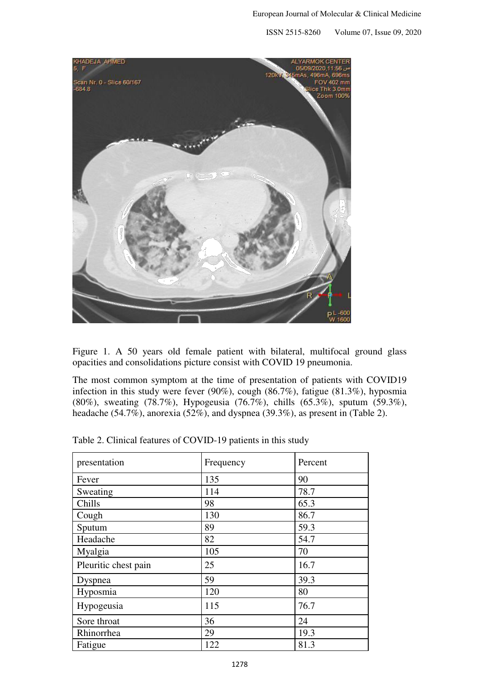ISSN 2515-8260 Volume 07, Issue 09, 2020



Figure 1. A 50 years old female patient with bilateral, multifocal ground glass opacities and consolidations picture consist with COVID 19 pneumonia.

The most common symptom at the time of presentation of patients with COVID19 infection in this study were fever (90%), cough (86.7%), fatigue (81.3%), hyposmia (80%), sweating (78.7%), Hypogeusia (76.7%), chills (65.3%), sputum (59.3%), headache (54.7%), anorexia (52%), and dyspnea (39.3%), as present in (Table 2).

| presentation         | Frequency | Percent |
|----------------------|-----------|---------|
| Fever                | 135       | 90      |
| Sweating             | 114       | 78.7    |
| Chills               | 98        | 65.3    |
| Cough                | 130       | 86.7    |
| Sputum               | 89        | 59.3    |
| Headache             | 82        | 54.7    |
| Myalgia              | 105       | 70      |
| Pleuritic chest pain | 25        | 16.7    |
| Dyspnea              | 59        | 39.3    |
| Hyposmia             | 120       | 80      |
| Hypogeusia           | 115       | 76.7    |
| Sore throat          | 36        | 24      |
| Rhinorrhea           | 29        | 19.3    |
| Fatigue              | 122       | 81.3    |

Table 2. Clinical features of COVID-19 patients in this study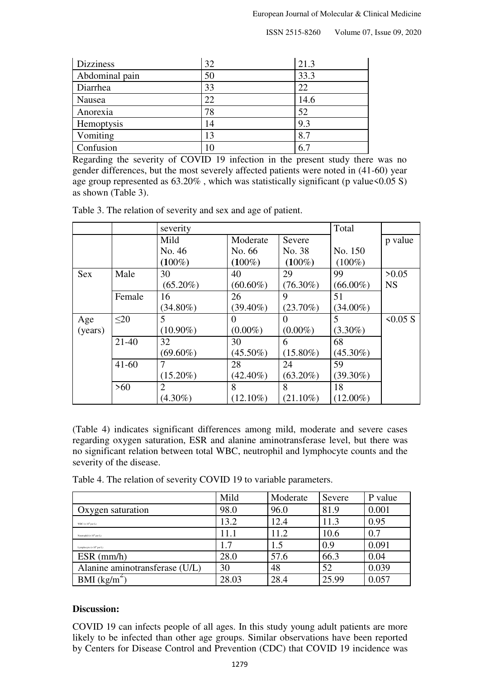| <b>Dizziness</b> | 32 | 21.3 |
|------------------|----|------|
| Abdominal pain   | 50 | 33.3 |
| Diarrhea         | 33 | 22   |
| Nausea           | 22 | 14.6 |
| Anorexia         | 78 | 52   |
| Hemoptysis       | 14 | 9.3  |
| Vomiting         | 13 | 8.7  |
| Confusion        | 10 | 6.7  |

Regarding the severity of COVID 19 infection in the present study there was no gender differences, but the most severely affected patients were noted in (41-60) year age group represented as  $63.20\%$ , which was statistically significant (p value  $0.05 S$ ) as shown (Table 3).

|            |           | severity    |             | Total       |             |           |
|------------|-----------|-------------|-------------|-------------|-------------|-----------|
|            |           | Mild        | Moderate    | Severe      |             | p value   |
|            |           | No. 46      | No. 66      | No. 38      | No. 150     |           |
|            |           | $(100\%)$   | $(100\%)$   | $(100\%)$   | $(100\%)$   |           |
| <b>Sex</b> | Male      | 30          | 40          | 29          | 99          | >0.05     |
|            |           | $(65.20\%)$ | $(60.60\%)$ | $(76.30\%)$ | $(66.00\%)$ | <b>NS</b> |
|            | Female    | 16          | 26          | 9           | 51          |           |
|            |           | $(34.80\%)$ | $(39.40\%)$ | $(23.70\%)$ | $(34.00\%)$ |           |
| Age        | $\leq 20$ | 5           | $\Omega$    | $\theta$    | 5           | 50.05 S   |
| (years)    |           | $(10.90\%)$ | $(0.00\%)$  | $(0.00\%)$  | $(3.30\%)$  |           |
|            | $21 - 40$ | 32          | 30          | 6           | 68          |           |
|            |           | $(69.60\%)$ | $(45.50\%)$ | $(15.80\%)$ | $(45.30\%)$ |           |
|            | $41 - 60$ | 7           | 28          | 24          | 59          |           |
|            |           | $(15.20\%)$ | $(42.40\%)$ | $(63.20\%)$ | $(39.30\%)$ |           |
|            | $>60$     | 2           | 8           | 8           | 18          |           |
|            |           | $(4.30\%)$  | $(12.10\%)$ | $(21.10\%)$ | $(12.00\%)$ |           |

Table 3. The relation of severity and sex and age of patient.

(Table 4) indicates significant differences among mild, moderate and severe cases regarding oxygen saturation, ESR and alanine aminotransferase level, but there was no significant relation between total WBC, neutrophil and lymphocyte counts and the severity of the disease.

|                                   | Mild  | Moderate | Severe | P value |
|-----------------------------------|-------|----------|--------|---------|
| Oxygen saturation                 | 98.0  | 96.0     | 81.9   | 0.001   |
| WBC $(x 10^9$ per L)              | 13.2  | 12.4     | 11.3   | 0.95    |
| Neutrophil ( $\times 10^9$ per L) | 11.1  | 11.2     | 10.6   | 0.7     |
| Lymphocyte ( $\times 10^9$ per L) | 1.7   | 1.5      | 0.9    | 0.091   |
| $ESR$ (mm/h)                      | 28.0  | 57.6     | 66.3   | 0.04    |
| Alanine aminotransferase (U/L)    | 30    | 48       | 52     | 0.039   |
| BMI $(kg/m^2)$                    | 28.03 | 28.4     | 25.99  | 0.057   |

Table 4. The relation of severity COVID 19 to variable parameters.

### **Discussion:**

COVID 19 can infects people of all ages. In this study young adult patients are more likely to be infected than other age groups. Similar observations have been reported by Centers for Disease Control and Prevention (CDC) that COVID 19 incidence was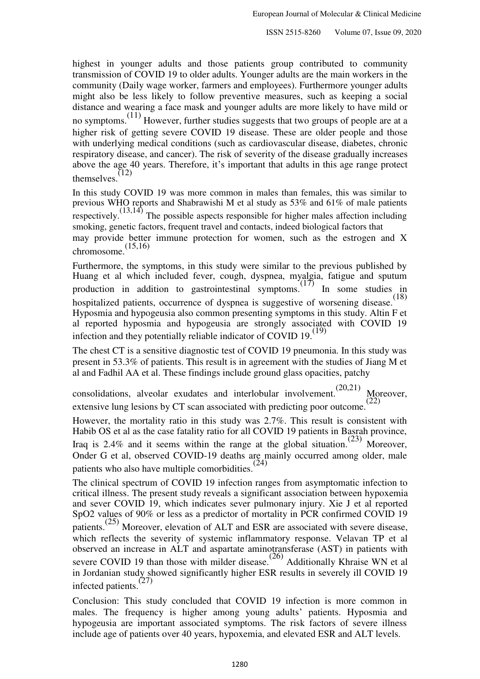highest in younger adults and those patients group contributed to community transmission of COVID 19 to older adults. Younger adults are the main workers in the community (Daily wage worker, farmers and employees). Furthermore younger adults might also be less likely to follow preventive measures, such as keeping a social distance and wearing a face mask and younger adults are more likely to have mild or no symptoms.<sup>(11)</sup> However, further studies suggests that two groups of people are at a higher risk of getting severe COVID 19 disease. These are older people and those with underlying medical conditions (such as cardiovascular disease, diabetes, chronic respiratory disease, and cancer). The risk of severity of the disease gradually increases above the age 40 years. Therefore, it's important that adults in this age range protect themselves. $(12)$ 

In this study COVID 19 was more common in males than females, this was similar to previous WHO reports and Shabrawishi M et al study as 53% and 61% of male patients respectively.<sup> $(13,14)$ </sup> The possible aspects responsible for higher males affection including smoking, genetic factors, frequent travel and contacts, indeed biological factors that may provide better immune protection for women, such as the estrogen and X chromosome. $(15,16)$ 

Furthermore, the symptoms, in this study were similar to the previous published by Huang et al which included fever, cough, dyspnea, myalgia, fatigue and sputum production in addition to gastrointestinal symptoms.<sup>(17)</sup> In some studies in hospitalized patients, occurrence of dyspnea is suggestive of worsening disease.<sup>(18)</sup> Hyposmia and hypogeusia also common presenting symptoms in this study. Altin F et al reported hyposmia and hypogeusia are strongly associated with COVID 19 infection and they potentially reliable indicator of COVID  $19$ .<sup>(19)</sup>

The chest CT is a sensitive diagnostic test of COVID 19 pneumonia. In this study was present in 53.3% of patients. This result is in agreement with the studies of Jiang M et al and Fadhil AA et al. These findings include ground glass opacities, patchy

consolidations, alveolar exudates and interlobular involvement.  $(20,21)$  Moreover, extensive lung lesions by CT scan associated with predicting poor outcome.<sup>(22)</sup>

However, the mortality ratio in this study was 2.7%. This result is consistent with Habib OS et al as the case fatality ratio for all COVID 19 patients in Basrah province, Iraq is 2.4% and it seems within the range at the global situation.<sup>(23)</sup> Moreover, Onder G et al, observed COVID-19 deaths are mainly occurred among older, male patients who also have multiple comorbidities.<sup>(24)</sup>

The clinical spectrum of COVID 19 infection ranges from asymptomatic infection to critical illness. The present study reveals a significant association between hypoxemia and sever COVID 19, which indicates sever pulmonary injury. Xie J et al reported SpO2 values of 90% or less as a predictor of mortality in PCR confirmed COVID 19 patients.(25) Moreover, elevation of ALT and ESR are associated with severe disease, which reflects the severity of systemic inflammatory response. Velavan TP et al observed an increase in ALT and aspartate aminotransferase (AST) in patients with severe COVID 19 than those with milder disease.<sup>(26)</sup> Additionally Khraise WN et al. in Jordanian study showed significantly higher ESR results in severely ill COVID 19 infected patients.(27)

Conclusion: This study concluded that COVID 19 infection is more common in males. The frequency is higher among young adults' patients. Hyposmia and hypogeusia are important associated symptoms. The risk factors of severe illness include age of patients over 40 years, hypoxemia, and elevated ESR and ALT levels.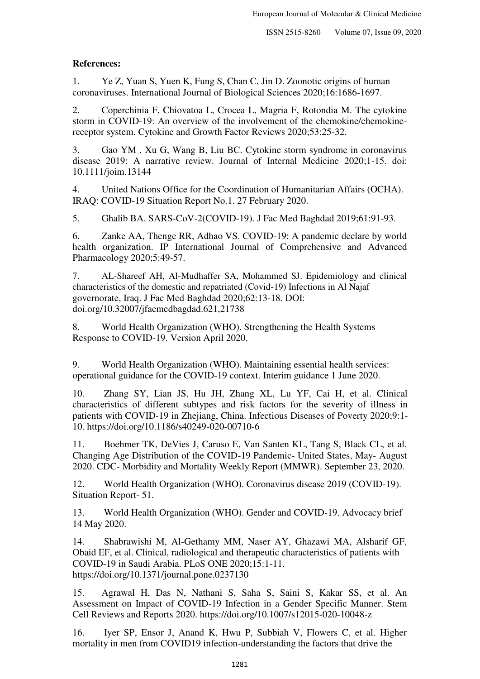## **References:**

1. Ye Z, Yuan S, Yuen K, Fung S, Chan C, Jin D. Zoonotic origins of human coronaviruses. International Journal of Biological Sciences 2020;16:1686-1697.

2. Coperchinia F, Chiovatoa L, Crocea L, Magria F, Rotondia M. The cytokine storm in COVID-19: An overview of the involvement of the chemokine/chemokinereceptor system. Cytokine and Growth Factor Reviews 2020;53:25-32.

3. Gao YM , Xu G, Wang B, Liu BC. Cytokine storm syndrome in coronavirus disease 2019: A narrative review. Journal of Internal Medicine 2020;1-15. doi: 10.1111/joim.13144

4. United Nations Office for the Coordination of Humanitarian Affairs (OCHA). IRAQ: COVID-19 Situation Report No.1. 27 February 2020.

5. Ghalib BA. SARS-CoV-2(COVID-19). J Fac Med Baghdad 2019;61:91-93.

6. Zanke AA, Thenge RR, Adhao VS. COVID-19: A pandemic declare by world health organization. IP International Journal of Comprehensive and Advanced Pharmacology 2020;5:49-57.

7. AL-Shareef AH, Al-Mudhaffer SA, Mohammed SJ. Epidemiology and clinical characteristics of the domestic and repatriated (Covid-19) Infections in Al Najaf governorate, Iraq. J Fac Med Baghdad 2020;62:13-18. DOI: doi.org/10.32007/jfacmedbagdad.621,21738

8. World Health Organization (WHO). Strengthening the Health Systems Response to COVID-19. Version April 2020.

9. World Health Organization (WHO). Maintaining essential health services: operational guidance for the COVID-19 context. Interim guidance 1 June 2020.

10. Zhang SY, Lian JS, Hu JH, Zhang XL, Lu YF, Cai H, et al. Clinical characteristics of different subtypes and risk factors for the severity of illness in patients with COVID-19 in Zhejiang, China. Infectious Diseases of Poverty 2020;9:1- 10. https://doi.org/10.1186/s40249-020-00710-6

11. Boehmer TK, DeVies J, Caruso E, Van Santen KL, Tang S, Black CL, et al. Changing Age Distribution of the COVID-19 Pandemic- United States, May- August 2020. CDC- Morbidity and Mortality Weekly Report (MMWR). September 23, 2020.

12. World Health Organization (WHO). Coronavirus disease 2019 (COVID-19). Situation Report- 51.

13. World Health Organization (WHO). Gender and COVID-19. Advocacy brief 14 May 2020.

14. Shabrawishi M, Al-Gethamy MM, Naser AY, Ghazawi MA, Alsharif GF, Obaid EF, et al. Clinical, radiological and therapeutic characteristics of patients with COVID-19 in Saudi Arabia. PLoS ONE 2020;15:1-11. https://doi.org/10.1371/journal.pone.0237130

15. Agrawal H, Das N, Nathani S, Saha S, Saini S, Kakar SS, et al. An Assessment on Impact of COVID-19 Infection in a Gender Specific Manner. Stem Cell Reviews and Reports 2020. https://doi.org/10.1007/s12015-020-10048-z

16. Iyer SP, Ensor J, Anand K, Hwu P, Subbiah V, Flowers C, et al. Higher mortality in men from COVID19 infection-understanding the factors that drive the